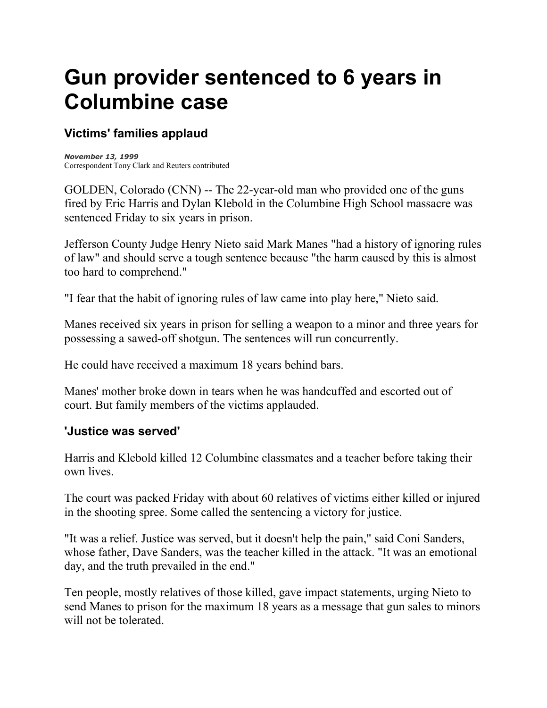# **Gun provider sentenced to 6 years in Columbine case**

## **Victims' families applaud**

*November 13, 1999* Correspondent Tony Clark and Reuters contributed

[GOLDEN, Colorado](http://www.cnn.com/US/9911/13/columbine.manes.01/golden.colo.map.jpg) (CNN) -- The 22-year-old man who provided one of the guns fired by [Eric Harris](http://www.cnn.com/US/9911/13/columbine.manes.01/link.harris.jpg) and [Dylan Klebold](http://www.cnn.com/US/9911/13/columbine.manes.01/link.klebold.jpg) in the Columbine High School massacre was sentenced Friday to six years in prison.

Jefferson County Judge Henry Nieto said Mark Manes "had a history of ignoring rules of law" and should serve a tough sentence because "the harm caused by this is almost too hard to comprehend."

"I fear that the habit of ignoring rules of law came into play here," Nieto said.

Manes received six years in prison for selling a weapon to a minor and three years for possessing a sawed-off shotgun. The sentences will run concurrently.

He could have received a maximum 18 years behind bars.

Manes' mother broke down in tears when he was handcuffed and escorted out of court. But family members of the victims applauded.

#### **'Justice was served'**

Harris and Klebold killed 12 Columbine classmates and a teacher before taking their own lives.

The court was packed Friday with about 60 relatives of victims either killed or injured in the shooting spree. Some called the sentencing a victory for justice.

"It was a relief. Justice was served, but it doesn't help the pain," said Coni Sanders, whose father, Dave Sanders, was the teacher killed in the attack. "It was an emotional day, and the truth prevailed in the end."

Ten people, mostly relatives of those killed, gave impact statements, urging Nieto to send Manes to prison for the maximum 18 years as a message that gun sales to minors will not be tolerated.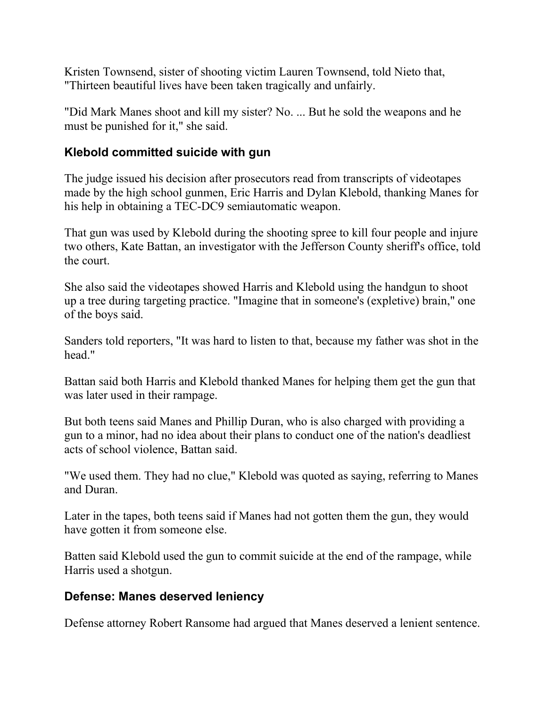Kristen Townsend, sister of shooting victim Lauren Townsend, told Nieto that, "Thirteen beautiful lives have been taken tragically and unfairly.

"Did Mark Manes shoot and kill my sister? No. ... But he sold the weapons and he must be punished for it," she said.

### **Klebold committed suicide with gun**

The judge issued his decision after prosecutors read from transcripts of videotapes made by the high school gunmen, Eric Harris and Dylan Klebold, thanking Manes for his help in obtaining a [TEC-DC9](http://www.cnn.com/US/9911/13/columbine.manes.01/link.tec.dc-9.jpg) semiautomatic weapon.

That gun was used by Klebold during the shooting spree to kill four people and injure two others, Kate Battan, an investigator with the Jefferson County sheriff's office, told the court.

She also said the videotapes showed Harris and Klebold using the handgun to shoot up a tree during targeting practice. "Imagine that in someone's (expletive) brain," one of the boys said.

Sanders told reporters, "It was hard to listen to that, because my father was shot in the head."

Battan said both Harris and Klebold thanked Manes for helping them get the gun that was later used in their rampage.

But both teens said Manes and Phillip Duran, who is also charged with providing a gun to a minor, had no idea about their plans to conduct one of the nation's deadliest acts of school violence, Battan said.

"We used them. They had no clue," Klebold was quoted as saying, referring to Manes and Duran.

Later in the tapes, both teens said if Manes had not gotten them the gun, they would have gotten it from someone else.

Batten said Klebold used the gun to commit suicide at the end of the rampage, while Harris used a shotgun.

#### **Defense: Manes deserved leniency**

Defense attorney Robert Ransome had argued that Manes deserved a lenient sentence.